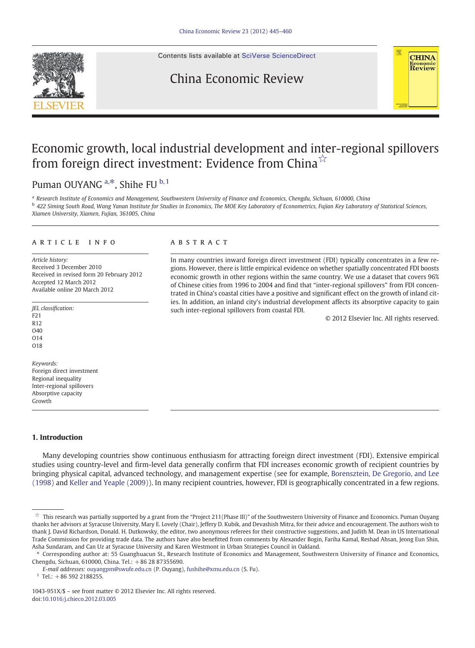

#### Contents lists available at [SciVerse ScienceDirect](http://www.sciencedirect.com/science/journal/1043951X)

## China Economic Review



# Economic growth, local industrial development and inter-regional spillovers from foreign direct investment: Evidence from China<sup>☆</sup>

Puman OUYANG  $a, *$ , Shihe FU  $b, 1$ 

<sup>a</sup> Research Institute of Economics and Management, Southwestern University of Finance and Economics, Chengdu, Sichuan, 610000, China b 422 Siming South Road, Wang Yanan Institute for Studies in Economics, The MOE Key Laboratory of Econometrics, Fujian Key Laboratory of Statistical Sciences, Xiamen University, Xiamen, Fujian, 361005, China

#### article info abstract

Article history: Received 3 December 2010 Received in revised form 20 February 2012 Accepted 12 March 2012 Available online 20 March 2012

JEL classification: F21 R12 O40  $O<sub>14</sub>$ O18

Keywords: Foreign direct investment Regional inequality Inter-regional spillovers Absorptive capacity Growth

### 1. Introduction

Many developing countries show continuous enthusiasm for attracting foreign direct investment (FDI). Extensive empirical studies using country-level and firm-level data generally confirm that FDI increases economic growth of recipient countries by bringing physical capital, advanced technology, and management expertise (see for example, [Borensztein, De Gregorio, and Lee](#page--1-0) [\(1998\)](#page--1-0) and [Keller and Yeaple \(2009\)](#page--1-0)). In many recipient countries, however, FDI is geographically concentrated in a few regions.

In many countries inward foreign direct investment (FDI) typically concentrates in a few regions. However, there is little empirical evidence on whether spatially concentrated FDI boosts economic growth in other regions within the same country. We use a dataset that covers 96% of Chinese cities from 1996 to 2004 and find that "inter-regional spillovers" from FDI concentrated in China's coastal cities have a positive and significant effect on the growth of inland cities. In addition, an inland city's industrial development affects its absorptive capacity to gain such inter-regional spillovers from coastal FDI.

© 2012 Elsevier Inc. All rights reserved.

 $\dot{\tilde{x}}$  This research was partially supported by a grant from the "Project 211(Phase III)" of the Southwestern University of Finance and Economics. Puman Ouyang thanks her advisors at Syracuse University, Mary E. Lovely (Chair), Jeffery D. Kubik, and Devashish Mitra, for their advice and encouragement. The authors wish to thank J. David Richardson, Donald. H. Dutkowsky, the editor, two anonymous referees for their constructive suggestions, and Judith M. Dean in US International Trade Commission for providing trade data. The authors have also benefitted from comments by Alexander Bogin, Fariha Kamal, Reshad Ahsan, Jeong Eun Shin, Asha Sundaram, and Can Uz at Syracuse University and Karen Westmont in Urban Strategies Council in Oakland.

<sup>⁎</sup> Corresponding author at: 55 Guanghuacun St., Research Institute of Economics and Management, Southwestern University of Finance and Economics, Chengdu, Sichuan, 610000, China. Tel.: + 86 28 87355690.

E-mail addresses: [ouyangpm@swufe.edu.cn](mailto:ouyangpm@swufe.edu.cn) (P. Ouyang), [fushihe@xmu.edu.cn](mailto:fushihe@xmu.edu.cn) (S. Fu).

 $1$  Tel.: +86 592 2188255.

<sup>1043-951</sup>X/\$ – see front matter © 2012 Elsevier Inc. All rights reserved. doi[:10.1016/j.chieco.2012.03.005](http://dx.doi.org/10.1016/j.chieco.2012.03.005)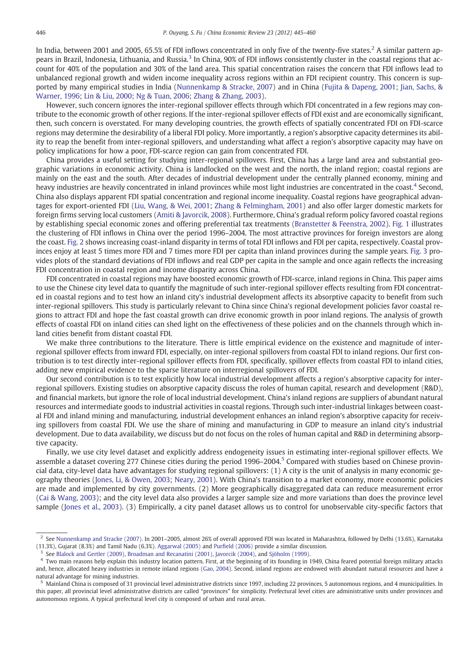In India, between 2001 and 2005, 65.5% of FDI inflows concentrated in only five of the twenty-five states.<sup>2</sup> A similar pattern appears in Brazil, Indonesia, Lithuania, and Russia.<sup>3</sup> In China, 90% of FDI inflows consistently cluster in the coastal regions that account for 40% of the population and 30% of the land area. This spatial concentration raises the concern that FDI inflows lead to unbalanced regional growth and widen income inequality across regions within an FDI recipient country. This concern is supported by many empirical studies in India ([Nunnenkamp & Stracke, 2007](#page--1-0)) and in China ([Fujita & Dapeng, 2001;](#page--1-0) [Jian, Sachs, &](#page--1-0) [Warner, 1996](#page--1-0); [Lin & Liu, 2000](#page--1-0); [Ng & Tuan, 2006;](#page--1-0) [Zhang & Zhang, 2003\)](#page--1-0).

However, such concern ignores the inter-regional spillover effects through which FDI concentrated in a few regions may contribute to the economic growth of other regions. If the inter-regional spillover effects of FDI exist and are economically significant, then, such concern is overstated. For many developing countries, the growth effects of spatially concentrated FDI on FDI-scarce regions may determine the desirability of a liberal FDI policy. More importantly, a region's absorptive capacity determines its ability to reap the benefit from inter-regional spillovers, and understanding what affect a region's absorptive capacity may have on policy implications for how a poor, FDI-scarce region can gain from concentrated FDI.

China provides a useful setting for studying inter-regional spillovers. First, China has a large land area and substantial geographic variations in economic activity. China is landlocked on the west and the north, the inland region; coastal regions are mainly on the east and the south. After decades of industrial development under the centrally planned economy, mining and heavy industries are heavily concentrated in inland provinces while most light industries are concentrated in the coast.<sup>4</sup> Second, China also displays apparent FDI spatial concentration and regional income inequality. Coastal regions have geographical advantages for export-oriented FDI [\(Liu, Wang, & Wei, 2001;](#page--1-0) [Zhang & Felmingham, 2001\)](#page--1-0) and also offer larger domestic markets for foreign firms serving local customers ([Amiti & Javorcik, 2008\)](#page--1-0). Furthermore, China's gradual reform policy favored coastal regions by establishing special economic zones and offering preferential tax treatments ([Branstetter & Feenstra, 2002\)](#page--1-0). [Fig. 1](#page--1-0) illustrates the clustering of FDI inflows in China over the period 1996–2004. The most attractive provinces for foreign investors are along the coast. [Fig. 2](#page--1-0) shows increasing coast-inland disparity in terms of total FDI inflows and FDI per capita, respectively. Coastal provinces enjoy at least 5 times more FDI and 7 times more FDI per capita than inland provinces during the sample years. [Fig. 3](#page--1-0) provides plots of the standard deviations of FDI inflows and real GDP per capita in the sample and once again reflects the increasing FDI concentration in coastal region and income disparity across China.

FDI concentrated in coastal regions may have boosted economic growth of FDI-scarce, inland regions in China. This paper aims to use the Chinese city level data to quantify the magnitude of such inter-regional spillover effects resulting from FDI concentrated in coastal regions and to test how an inland city's industrial development affects its absorptive capacity to benefit from such inter-regional spillovers. This study is particularly relevant to China since China's regional development policies favor coastal regions to attract FDI and hope the fast coastal growth can drive economic growth in poor inland regions. The analysis of growth effects of coastal FDI on inland cities can shed light on the effectiveness of these policies and on the channels through which inland cities benefit from distant coastal FDI.

We make three contributions to the literature. There is little empirical evidence on the existence and magnitude of interregional spillover effects from inward FDI, especially, on inter-regional spillovers from coastal FDI to inland regions. Our first contribution is to test directly inter-regional spillover effects from FDI, specifically, spillover effects from coastal FDI to inland cities, adding new empirical evidence to the sparse literature on interregional spillovers of FDI.

Our second contribution is to test explicitly how local industrial development affects a region's absorptive capacity for interregional spillovers. Existing studies on absorptive capacity discuss the roles of human capital, research and development (R&D), and financial markets, but ignore the role of local industrial development. China's inland regions are suppliers of abundant natural resources and intermediate goods to industrial activities in coastal regions. Through such inter-industrial linkages between coastal FDI and inland mining and manufacturing, industrial development enhances an inland region's absorptive capacity for receiving spillovers from coastal FDI. We use the share of mining and manufacturing in GDP to measure an inland city's industrial development. Due to data availability, we discuss but do not focus on the roles of human capital and R&D in determining absorptive capacity.

Finally, we use city level dataset and explicitly address endogeneity issues in estimating inter-regional spillover effects. We assemble a dataset covering 277 Chinese cities during the period 1996–2004.<sup>5</sup> Compared with studies based on Chinese provincial data, city-level data have advantages for studying regional spillovers: (1) A city is the unit of analysis in many economic geography theories [\(Jones, Li, & Owen, 2003;](#page--1-0) [Neary, 2001](#page--1-0)). With China's transition to a market economy, more economic policies are made and implemented by city governments. (2) More geographically disaggregated data can reduce measurement error ([Cai & Wang, 2003](#page--1-0)); and the city level data also provides a larger sample size and more variations than does the province level sample ([Jones et al., 2003](#page--1-0)). (3) Empirically, a city panel dataset allows us to control for unobservable city-specific factors that

<sup>2</sup> See [Nunnenkamp and Stracke \(2007\)](#page--1-0). In 2001–2005, almost 26% of overall approved FDI was located in Maharashtra, followed by Delhi (13.6%), Karnataka (11.3%), Gujarat (8.3%) and Tamil Nadu (6.3%). [Aggarwal \(2005\)](#page--1-0) and Purfi[eld \(2006\)](#page--1-0) provide a similar discussion.

<sup>3</sup> See [Blalock and Gertler \(2009\),](#page--1-0) [Broadman and Recanatini \(2001\),](#page--1-0) [Javorcik \(2004\)](#page--1-0), and [Sjöholm \(1999\).](#page--1-0)

 $4$  Two main reasons help explain this industry location pattern. First, at the beginning of its founding in 1949, China feared potential foreign military attacks and, hence, allocated heavy industries in remote inland regions ([Gao, 2004](#page--1-0)). Second, inland regions are endowed with abundant natural resources and have a natural advantage for mining industries.

<sup>5</sup> Mainland China is composed of 31 provincial level administrative districts since 1997, including 22 provinces, 5 autonomous regions, and 4 municipalities. In this paper, all provincial level administrative districts are called "provinces" for simplicity. Prefectural level cities are administrative units under provinces and autonomous regions. A typical prefectural level city is composed of urban and rural areas.